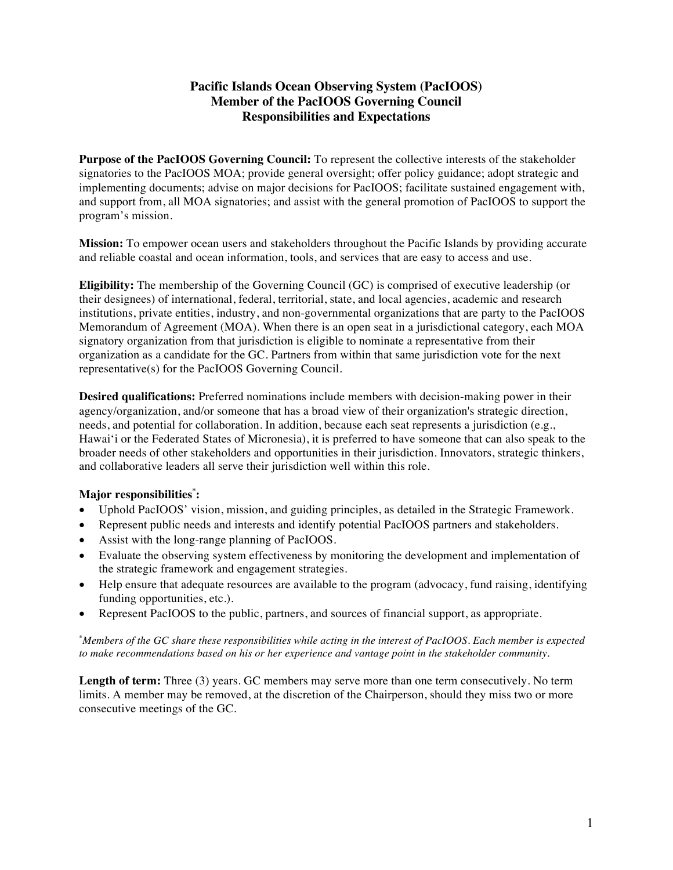# **Pacific Islands Ocean Observing System (PacIOOS) Member of the PacIOOS Governing Council Responsibilities and Expectations**

**Purpose of the PacIOOS Governing Council:** To represent the collective interests of the stakeholder signatories to the PacIOOS MOA; provide general oversight; offer policy guidance; adopt strategic and implementing documents; advise on major decisions for PacIOOS; facilitate sustained engagement with, and support from, all MOA signatories; and assist with the general promotion of PacIOOS to support the program's mission.

**Mission:** To empower ocean users and stakeholders throughout the Pacific Islands by providing accurate and reliable coastal and ocean information, tools, and services that are easy to access and use.

**Eligibility:** The membership of the Governing Council (GC) is comprised of executive leadership (or their designees) of international, federal, territorial, state, and local agencies, academic and research institutions, private entities, industry, and non-governmental organizations that are party to the PacIOOS Memorandum of Agreement (MOA). When there is an open seat in a jurisdictional category, each MOA signatory organization from that jurisdiction is eligible to nominate a representative from their organization as a candidate for the GC. Partners from within that same jurisdiction vote for the next representative(s) for the PacIOOS Governing Council.

**Desired qualifications:** Preferred nominations include members with decision-making power in their agency/organization, and/or someone that has a broad view of their organization's strategic direction, needs, and potential for collaboration. In addition, because each seat represents a jurisdiction (e.g., Hawaiʻi or the Federated States of Micronesia), it is preferred to have someone that can also speak to the broader needs of other stakeholders and opportunities in their jurisdiction. Innovators, strategic thinkers, and collaborative leaders all serve their jurisdiction well within this role.

## **Major responsibilities\* :**

- Uphold PacIOOS' vision, mission, and guiding principles, as detailed in the Strategic Framework.
- Represent public needs and interests and identify potential PacIOOS partners and stakeholders.
- Assist with the long-range planning of PacIOOS.
- Evaluate the observing system effectiveness by monitoring the development and implementation of the strategic framework and engagement strategies.
- Help ensure that adequate resources are available to the program (advocacy, fund raising, identifying funding opportunities, etc.).
- Represent PacIOOS to the public, partners, and sources of financial support, as appropriate.

**\*** *Members of the GC share these responsibilities while acting in the interest of PacIOOS. Each member is expected to make recommendations based on his or her experience and vantage point in the stakeholder community.*

**Length of term:** Three (3) years. GC members may serve more than one term consecutively. No term limits. A member may be removed, at the discretion of the Chairperson, should they miss two or more consecutive meetings of the GC.